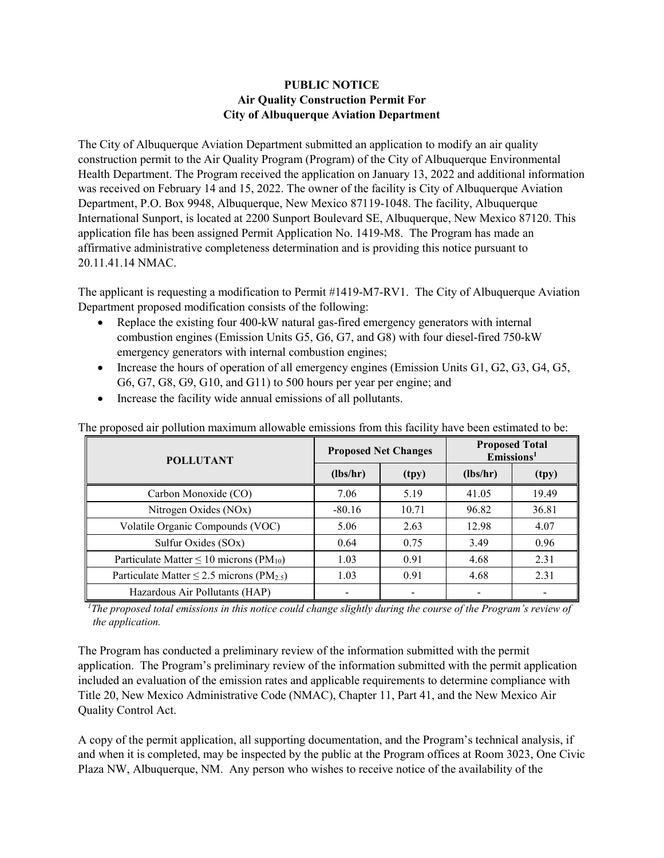## **PUBLIC NOTICE Air Quality Construction Permit For City of Albuquerque Aviation Department**

The City of Albuquerque Aviation Department submitted an application to modify an air quality construction permit to the Air Quality Program (Program) of the City of Albuquerque Environmental Health Department. The Program received the application on January 13, 2022 and additional information was received on February 14 and 15, 2022. The owner of the facility is City of Albuquerque Aviation Department, P.O. Box 9948, Albuquerque, New Mexico 87119-1048. The facility, Albuquerque International Sunport, is located at 2200 Sunport Boulevard SE, Albuquerque, New Mexico 87120. This application file has been assigned Permit Application No. 1419-M8. The Program has made an affirmative administrative completeness determination and is providing this notice pursuant to 20.11.41.14 NMAC.

The applicant is requesting a modification to Permit #1419-M7-RV1. The City of Albuquerque Aviation Department proposed modification consists of the following:

- Replace the existing four 400-kW natural gas-fired emergency generators with internal combustion engines (Emission Units G5, G6, G7, and G8) with four diesel-fired 750-kW emergency generators with internal combustion engines;
- Increase the hours of operation of all emergency engines (Emission Units G1, G2, G3, G4, G5, G6, G7, G8, G9, G10, and G11) to 500 hours per year per engine; and
- Increase the facility wide annual emissions of all pollutants.

| <b>POLLUTANT</b>                                           | <b>Proposed Net Changes</b> |       | <b>Proposed Total</b><br>$E$ missions <sup>1</sup> |       |
|------------------------------------------------------------|-----------------------------|-------|----------------------------------------------------|-------|
|                                                            | (lbs/hr)                    | (tpy) | (lbs/hr)                                           | (tpy) |
| Carbon Monoxide (CO)                                       | 7.06                        | 5.19  | 41.05                                              | 19.49 |
| Nitrogen Oxides (NOx)                                      | $-80.16$                    | 10.71 | 96.82                                              | 36.81 |
| Volatile Organic Compounds (VOC)                           | 5.06                        | 2.63  | 12.98                                              | 4.07  |
| Sulfur Oxides (SOx)                                        | 0.64                        | 0.75  | 3.49                                               | 0.96  |
| Particulate Matter $\leq 10$ microns (PM <sub>10</sub> )   | 1.03                        | 0.91  | 4.68                                               | 2.31  |
| Particulate Matter $\leq$ 2.5 microns (PM <sub>2.5</sub> ) | 1.03                        | 0.91  | 4.68                                               | 2.31  |
| Hazardous Air Pollutants (HAP)                             |                             |       |                                                    |       |

The proposed air pollution maximum allowable emissions from this facility have been estimated to be:

<sup>1</sup>The proposed total emissions in this notice could change slightly during the course of the Program's review of *the application.*

The Program has conducted a preliminary review of the information submitted with the permit application. The Program's preliminary review of the information submitted with the permit application included an evaluation of the emission rates and applicable requirements to determine compliance with Title 20, New Mexico Administrative Code (NMAC), Chapter 11, Part 41, and the New Mexico Air Quality Control Act.

A copy of the permit application, all supporting documentation, and the Program's technical analysis, if and when it is completed, may be inspected by the public at the Program offices at Room 3023, One Civic Plaza NW, Albuquerque, NM. Any person who wishes to receive notice of the availability of the